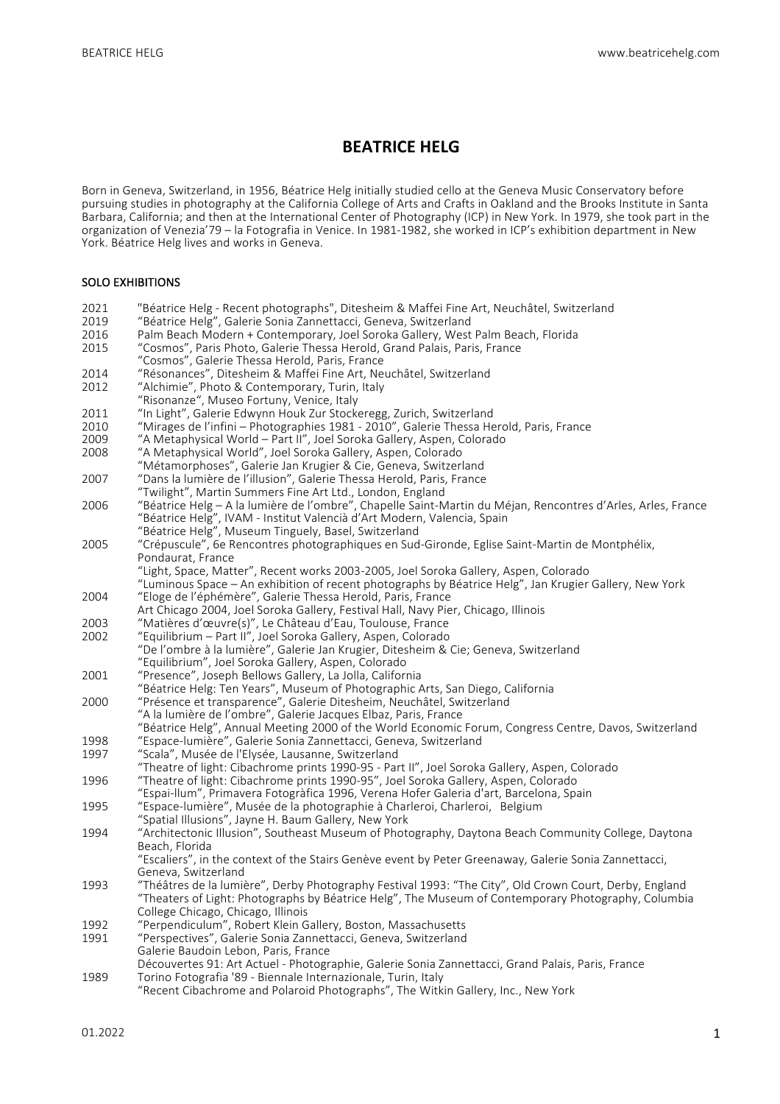# **BEATRICE HELG**

Born in Geneva, Switzerland, in 1956, Béatrice Helg initially studied cello at the Geneva Music Conservatory before pursuing studies in photography at the California College of Arts and Crafts in Oakland and the Brooks Institute in Santa Barbara, California; and then at the International Center of Photography (ICP) in New York. In 1979, she took part in the organization of Venezia'79 – la Fotografia in Venice. In 1981-1982, she worked in ICP's exhibition department in New York. Béatrice Helg lives and works in Geneva.

#### SOLO EXHIBITIONS

- 2021 "Béatrice Helg Recent photographs", Ditesheim & Maffei Fine Art, Neuchâtel, Switzerland<br>2019 "Béatrice Helg", Galerie Sonia Zannettacci, Geneva, Switzerland
- 2019 "Béatrice Helg", Galerie Sonia Zannettacci, Geneva, Switzerland<br>2016 Palm Beach Modern + Contemporary, Joel Soroka Gallery, West
- 2016 Palm Beach Modern + Contemporary, Joel Soroka Gallery, West Palm Beach, Florida<br>2015 "Cosmos", Paris Photo, Galerie Thessa Herold, Grand Palais, Paris, France
- 2015 "Cosmos", Paris Photo, Galerie Thessa Herold, Grand Palais, Paris, France "Cosmos", Galerie Thessa Herold, Paris, France
- 2014 "Résonances", Ditesheim & Maffei Fine Art, Neuchâtel, Switzerland<br>2012 "Alchimie", Photo & Contemporary, Turin, Italy
- "Alchimie", Photo & Contemporary, Turin, Italy
- "Risonanze", Museo Fortuny, Venice, Italy
- 2011 "In Light", Galerie Edwynn Houk Zur Stockeregg, Zurich, Switzerland
- 2010 "Mirages de l'infini Photographies 1981 2010", Galerie Thessa Herold, Paris, France
- 2009 "A Metaphysical World Part II", Joel Soroka Gallery, Aspen, Colorado<br>2008 "A Metaphysical World", Joel Soroka Gallery, Aspen, Colorado
- "A Metaphysical World", Joel Soroka Gallery, Aspen, Colorado
- "Métamorphoses", Galerie Jan Krugier & Cie, Geneva, Switzerland
- 2007 "Dans la lumière de l'illusion", Galerie Thessa Herold, Paris, France
- "Twilight", Martin Summers Fine Art Ltd., London, England
- 2006 "Béatrice Helg A la lumière de l'ombre", Chapelle Saint-Martin du Méjan, Rencontres d'Arles, Arles, France "Béatrice Helg", IVAM - Institut Valencià d'Art Modern, Valencia, Spain "Béatrice Helg", Museum Tinguely, Basel, Switzerland
- 2005 "Crépuscule", 6e Rencontres photographiques en Sud-Gironde, Eglise Saint-Martin de Montphélix,
	- Pondaurat, France
		- "Light, Space, Matter", Recent works 2003-2005, Joel Soroka Gallery, Aspen. Colorado
- "Luminous Space An exhibition of recent photographs by Béatrice Helg", Jan Krugier Gallery, New York 2004 "Eloge de l'éphémère", Galerie Thessa Herold, Paris, France
- Art Chicago 2004, Joel Soroka Gallery, Festival Hall, Navy Pier, Chicago, Illinois
- 2003 "Matières d'œuvre(s)", Le Château d'Eau, Toulouse, France<br>2002 "Equilibrium Part II", Joel Soroka Gallery, Aspen, Colorado
- "Equilibrium Part II", Joel Soroka Gallery, Aspen, Colorado "De l'ombre à la lumière", Galerie Jan Krugier, Ditesheim & Cie; Geneva, Switzerland "Equilibrium", Joel Soroka Gallery, Aspen, Colorado
- 2001 "Presence", Joseph Bellows Gallery, La Jolla, California
- "Béatrice Helg: Ten Years", Museum of Photographic Arts, San Diego, California
- 2000 "Présence et transparence", Galerie Ditesheim, Neuchâtel, Switzerland
- "A la lumière de l'ombre", Galerie Jacques Elbaz, Paris, France
	- "Béatrice Helg", Annual Meeting 2000 of the World Economic Forum, Congress Centre, Davos, Switzerland
- 1998 "Espace-lumière", Galerie Sonia Zannettacci, Geneva, Switzerland<br>1997 "Scala", Musée de l'Elysée, Lausanne, Switzerland "Scala", Musée de l'Elysée, Lausanne, Switzerland
- 
- "Theatre of light: Cibachrome prints 1990-95 Part II", Joel Soroka Gallery, Aspen, Colorado 1996 "Theatre of light: Cibachrome prints 1990-95", Joel Soroka Gallery, Aspen, Colorado
- "Espai-llum", Primavera Fotogràfica 1996, Verena Hofer Galeria d'art, Barcelona, Spain
- 1995 "Espace-lumière", Musée de la photographie à Charleroi, Charleroi, Belgium
- "Spatial Illusions", Jayne H. Baum Gallery, New York
- 1994 "Architectonic Illusion", Southeast Museum of Photography, Daytona Beach Community College, Daytona Beach, Florida
	- "Escaliers", in the context of the Stairs Genève event by Peter Greenaway, Galerie Sonia Zannettacci, Geneva, Switzerland
- 1993 "Théâtres de la lumière", Derby Photography Festival 1993: "The City", Old Crown Court, Derby, England Theaters as is is increased by the regiments. The Museum of Contemporary Photography, Columbia College Chicago, Chicago, Illinois
- 1992 "Perpendiculum", Robert Klein Gallery, Boston, Massachusetts<br>1991 "Perspectives" Galerie Sonia Zannettacci Geneva Switzerland
- "Perspectives", Galerie Sonia Zannettacci, Geneva, Switzerland
- Galerie Baudoin Lebon, Paris, France
- Découvertes 91: Art Actuel Photographie, Galerie Sonia Zannettacci, Grand Palais, Paris, France 1989 Torino Fotografia '89 - Biennale Internazionale, Turin, Italy
- "Recent Cibachrome and Polaroid Photographs", The Witkin Gallery, Inc., New York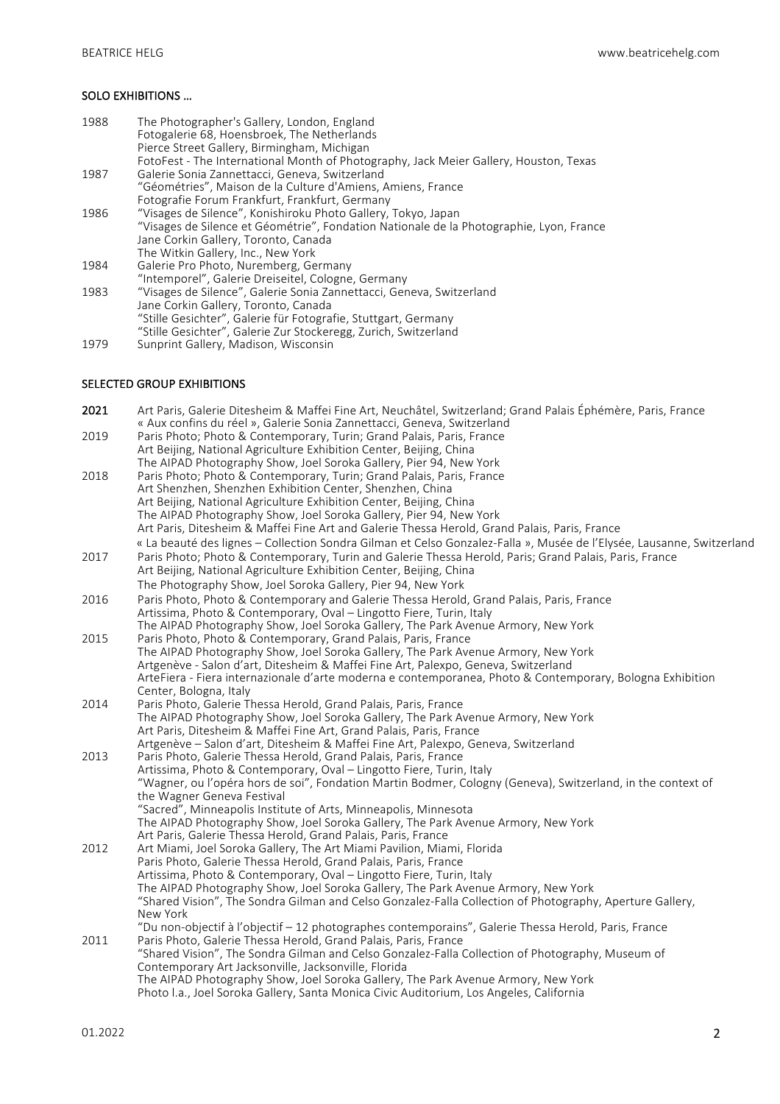# SOLO EXHIBITIONS ...

| 1988      | The Photographer's Gallery, London, England                                                                  |
|-----------|--------------------------------------------------------------------------------------------------------------|
|           | Fotogalerie 68, Hoensbroek, The Netherlands<br>Pierce Street Gallery, Birmingham, Michigan                   |
|           | FotoFest - The International Month of Photography, Jack Meier Gallery, Houston, Texas                        |
| 1987      | Galerie Sonia Zannettacci, Geneva, Switzerland                                                               |
|           | "Géométries", Maison de la Culture d'Amiens, Amiens, France                                                  |
|           | Fotografie Forum Frankfurt, Frankfurt, Germany                                                               |
| 1986      | "Visages de Silence", Konishiroku Photo Gallery, Tokyo, Japan                                                |
|           | "Visages de Silence et Géométrie", Fondation Nationale de la Photographie, Lyon, France                      |
|           | Jane Corkin Gallery, Toronto, Canada                                                                         |
|           | The Witkin Gallery, Inc., New York                                                                           |
| 1984      | Galerie Pro Photo, Nuremberg, Germany                                                                        |
|           | "Intemporel", Galerie Dreiseitel, Cologne, Germany                                                           |
| 1983      | "Visages de Silence", Galerie Sonia Zannettacci, Geneva, Switzerland                                         |
|           | Jane Corkin Gallery, Toronto, Canada                                                                         |
|           | "Stille Gesichter", Galerie für Fotografie, Stuttgart, Germany                                               |
|           | "Stille Gesichter", Galerie Zur Stockeregg, Zurich, Switzerland                                              |
| 1979      | Sunprint Gallery, Madison, Wisconsin                                                                         |
|           | <b>SELECTED GROUP EXHIBITIONS</b>                                                                            |
| 2021      | Art Paris, Galerie Ditesheim & Maffei Fine Art, Neuchâtel, Switzerland; Grand Palais Éphémère, Paris, France |
| $- - - -$ | « Aux confins du réel », Galerie Sonia Zannettacci, Geneva, Switzerland                                      |

| 2019 | Paris Photo; Photo & Contemporary, Turin; Grand Palais, Paris, France                                                                                     |
|------|-----------------------------------------------------------------------------------------------------------------------------------------------------------|
|      | Art Beijing, National Agriculture Exhibition Center, Beijing, China<br>The AIPAD Photography Show, Joel Soroka Gallery, Pier 94, New York                 |
| 2018 | Paris Photo; Photo & Contemporary, Turin; Grand Palais, Paris, France                                                                                     |
|      | Art Shenzhen, Shenzhen Exhibition Center, Shenzhen, China                                                                                                 |
|      | Art Beijing, National Agriculture Exhibition Center, Beijing, China                                                                                       |
|      | The AIPAD Photography Show, Joel Soroka Gallery, Pier 94, New York                                                                                        |
|      | Art Paris, Ditesheim & Maffei Fine Art and Galerie Thessa Herold, Grand Palais, Paris, France                                                             |
|      | « La beauté des lignes - Collection Sondra Gilman et Celso Gonzalez-Falla », Musée de l'Elysée, Lausanne, Switzerland                                     |
| 2017 | Paris Photo; Photo & Contemporary, Turin and Galerie Thessa Herold, Paris; Grand Palais, Paris, France                                                    |
|      | Art Beijing, National Agriculture Exhibition Center, Beijing, China                                                                                       |
|      | The Photography Show, Joel Soroka Gallery, Pier 94, New York                                                                                              |
|      |                                                                                                                                                           |
| 2016 | Paris Photo, Photo & Contemporary and Galerie Thessa Herold, Grand Palais, Paris, France                                                                  |
|      | Artissima, Photo & Contemporary, Oval - Lingotto Fiere, Turin, Italy<br>The AIPAD Photography Show, Joel Soroka Gallery, The Park Avenue Armory, New York |
| 2015 | Paris Photo, Photo & Contemporary, Grand Palais, Paris, France                                                                                            |
|      | The AIPAD Photography Show, Joel Soroka Gallery, The Park Avenue Armory, New York                                                                         |
|      | Artgenève - Salon d'art, Ditesheim & Maffei Fine Art, Palexpo, Geneva, Switzerland                                                                        |
|      | ArteFiera - Fiera internazionale d'arte moderna e contemporanea, Photo & Contemporary, Bologna Exhibition                                                 |
|      | Center, Bologna, Italy                                                                                                                                    |
| 2014 | Paris Photo, Galerie Thessa Herold, Grand Palais, Paris, France                                                                                           |
|      | The AIPAD Photography Show, Joel Soroka Gallery, The Park Avenue Armory, New York                                                                         |
|      | Art Paris, Ditesheim & Maffei Fine Art, Grand Palais, Paris, France                                                                                       |
|      | Artgenève - Salon d'art, Ditesheim & Maffei Fine Art, Palexpo, Geneva, Switzerland                                                                        |
| 2013 | Paris Photo, Galerie Thessa Herold, Grand Palais, Paris, France                                                                                           |
|      | Artissima, Photo & Contemporary, Oval - Lingotto Fiere, Turin, Italy                                                                                      |
|      | "Wagner, ou l'opéra hors de soi", Fondation Martin Bodmer, Cologny (Geneva), Switzerland, in the context of                                               |
|      | the Wagner Geneva Festival                                                                                                                                |
|      | "Sacred", Minneapolis Institute of Arts, Minneapolis, Minnesota                                                                                           |
|      | The AIPAD Photography Show, Joel Soroka Gallery, The Park Avenue Armory, New York                                                                         |
|      | Art Paris, Galerie Thessa Herold, Grand Palais, Paris, France                                                                                             |
| 2012 | Art Miami, Joel Soroka Gallery, The Art Miami Pavilion, Miami, Florida                                                                                    |
|      | Paris Photo, Galerie Thessa Herold, Grand Palais, Paris, France<br>Artissima, Photo & Contemporary, Oval - Lingotto Fiere, Turin, Italy                   |
|      | The AIPAD Photography Show, Joel Soroka Gallery, The Park Avenue Armory, New York                                                                         |
|      | "Shared Vision", The Sondra Gilman and Celso Gonzalez-Falla Collection of Photography, Aperture Gallery,                                                  |
|      | New York                                                                                                                                                  |
|      | "Du non-objectif à l'objectif - 12 photographes contemporains", Galerie Thessa Herold, Paris, France                                                      |
| 2011 | Paris Photo, Galerie Thessa Herold, Grand Palais, Paris, France                                                                                           |
|      | "Shared Vision", The Sondra Gilman and Celso Gonzalez-Falla Collection of Photography, Museum of                                                          |
|      | Contemporary Art Jacksonville, Jacksonville, Florida                                                                                                      |
|      | The AIPAD Photography Show, Joel Soroka Gallery, The Park Avenue Armory, New York                                                                         |
|      | Photo I.a., Joel Soroka Gallery, Santa Monica Civic Auditorium, Los Angeles, California                                                                   |
|      |                                                                                                                                                           |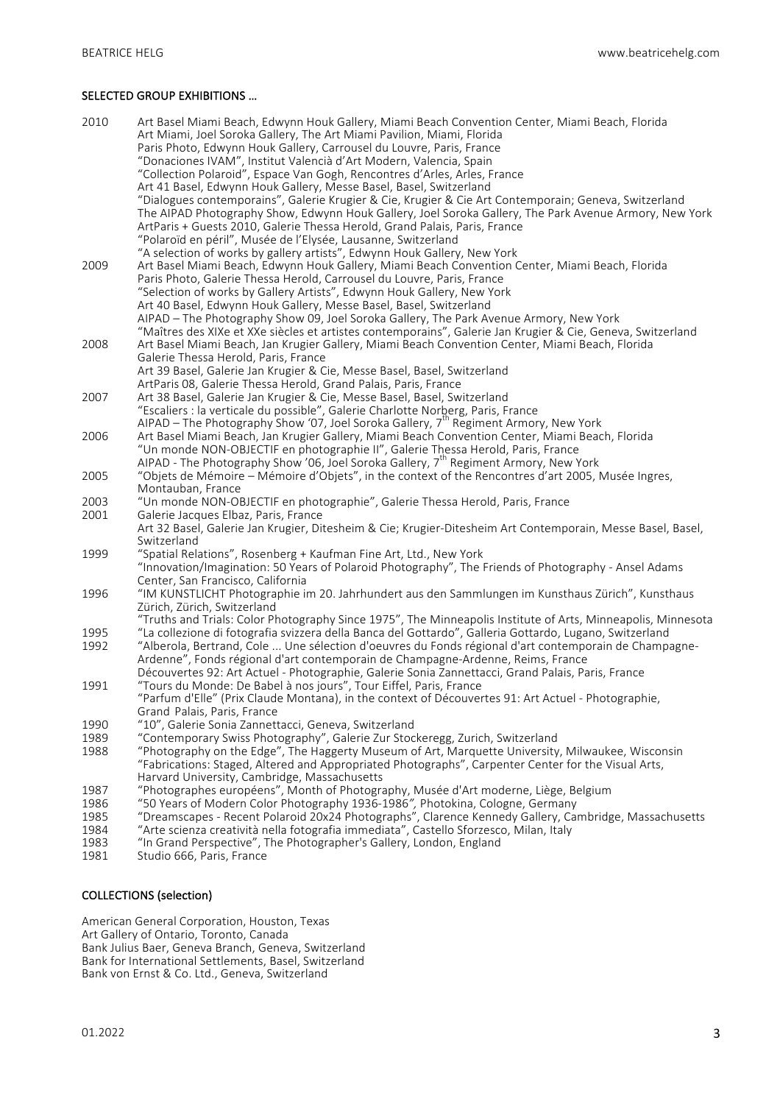### SELECTED GROUP EXHIBITIONS ...

| 2010         | Art Basel Miami Beach, Edwynn Houk Gallery, Miami Beach Convention Center, Miami Beach, Florida<br>Art Miami, Joel Soroka Gallery, The Art Miami Pavilion, Miami, Florida<br>Paris Photo, Edwynn Houk Gallery, Carrousel du Louvre, Paris, France<br>"Donaciones IVAM", Institut Valencià d'Art Modern, Valencia, Spain |
|--------------|-------------------------------------------------------------------------------------------------------------------------------------------------------------------------------------------------------------------------------------------------------------------------------------------------------------------------|
|              | "Collection Polaroid", Espace Van Gogh, Rencontres d'Arles, Arles, France                                                                                                                                                                                                                                               |
|              | Art 41 Basel, Edwynn Houk Gallery, Messe Basel, Basel, Switzerland                                                                                                                                                                                                                                                      |
|              | "Dialogues contemporains", Galerie Krugier & Cie, Krugier & Cie Art Contemporain; Geneva, Switzerland                                                                                                                                                                                                                   |
|              | The AIPAD Photography Show, Edwynn Houk Gallery, Joel Soroka Gallery, The Park Avenue Armory, New York                                                                                                                                                                                                                  |
|              | ArtParis + Guests 2010, Galerie Thessa Herold, Grand Palais, Paris, France                                                                                                                                                                                                                                              |
|              | "Polaroïd en péril", Musée de l'Elysée, Lausanne, Switzerland                                                                                                                                                                                                                                                           |
|              | "A selection of works by gallery artists", Edwynn Houk Gallery, New York                                                                                                                                                                                                                                                |
| 2009         | Art Basel Miami Beach, Edwynn Houk Gallery, Miami Beach Convention Center, Miami Beach, Florida                                                                                                                                                                                                                         |
|              | Paris Photo, Galerie Thessa Herold, Carrousel du Louvre, Paris, France                                                                                                                                                                                                                                                  |
|              | "Selection of works by Gallery Artists", Edwynn Houk Gallery, New York<br>Art 40 Basel, Edwynn Houk Gallery, Messe Basel, Basel, Switzerland                                                                                                                                                                            |
|              | AIPAD - The Photography Show 09, Joel Soroka Gallery, The Park Avenue Armory, New York                                                                                                                                                                                                                                  |
|              | "Maîtres des XIXe et XXe siècles et artistes contemporains", Galerie Jan Krugier & Cie, Geneva, Switzerland                                                                                                                                                                                                             |
| 2008         | Art Basel Miami Beach, Jan Krugier Gallery, Miami Beach Convention Center, Miami Beach, Florida                                                                                                                                                                                                                         |
|              | Galerie Thessa Herold, Paris, France                                                                                                                                                                                                                                                                                    |
|              | Art 39 Basel, Galerie Jan Krugier & Cie, Messe Basel, Basel, Switzerland                                                                                                                                                                                                                                                |
|              | ArtParis 08, Galerie Thessa Herold, Grand Palais, Paris, France                                                                                                                                                                                                                                                         |
| 2007         | Art 38 Basel, Galerie Jan Krugier & Cie, Messe Basel, Basel, Switzerland                                                                                                                                                                                                                                                |
|              | "Escaliers : la verticale du possible", Galerie Charlotte Norberg, Paris, France<br>AIPAD – The Photography Show '07, Joel Soroka Gallery, 7 <sup>th</sup> Regiment Armory, New York                                                                                                                                    |
| 2006         | Art Basel Miami Beach, Jan Krugier Gallery, Miami Beach Convention Center, Miami Beach, Florida                                                                                                                                                                                                                         |
|              | "Un monde NON-OBJECTIF en photographie II", Galerie Thessa Herold, Paris, France                                                                                                                                                                                                                                        |
|              | AIPAD - The Photography Show '06, Joel Soroka Gallery, 7 <sup>th</sup> Regiment Armory, New York                                                                                                                                                                                                                        |
| 2005         | "Objets de Mémoire – Mémoire d'Objets", in the context of the Rencontres d'art 2005, Musée Ingres,                                                                                                                                                                                                                      |
|              | Montauban, France                                                                                                                                                                                                                                                                                                       |
| 2003         | "Un monde NON-OBJECTIF en photographie", Galerie Thessa Herold, Paris, France                                                                                                                                                                                                                                           |
| 2001         | Galerie Jacques Elbaz, Paris, France                                                                                                                                                                                                                                                                                    |
|              | Art 32 Basel, Galerie Jan Krugier, Ditesheim & Cie; Krugier-Ditesheim Art Contemporain, Messe Basel, Basel,<br>Switzerland                                                                                                                                                                                              |
| 1999         | "Spatial Relations", Rosenberg + Kaufman Fine Art, Ltd., New York                                                                                                                                                                                                                                                       |
|              | "Innovation/Imagination: 50 Years of Polaroid Photography", The Friends of Photography - Ansel Adams                                                                                                                                                                                                                    |
|              | Center, San Francisco, California                                                                                                                                                                                                                                                                                       |
| 1996         | "IM KUNSTLICHT Photographie im 20. Jahrhundert aus den Sammlungen im Kunsthaus Zürich", Kunsthaus                                                                                                                                                                                                                       |
|              | Zürich, Zürich, Switzerland                                                                                                                                                                                                                                                                                             |
|              | "Truths and Trials: Color Photography Since 1975", The Minneapolis Institute of Arts, Minneapolis, Minnesota                                                                                                                                                                                                            |
| 1995<br>1992 | "La collezione di fotografia svizzera della Banca del Gottardo", Galleria Gottardo, Lugano, Switzerland<br>"Alberola, Bertrand, Cole  Une sélection d'oeuvres du Fonds régional d'art contemporain de Champagne-                                                                                                        |
|              | Ardenne", Fonds régional d'art contemporain de Champagne-Ardenne, Reims, France                                                                                                                                                                                                                                         |
|              | Découvertes 92: Art Actuel - Photographie, Galerie Sonia Zannettacci, Grand Palais, Paris, France                                                                                                                                                                                                                       |
| 1991         | "Tours du Monde: De Babel à nos jours", Tour Eiffel, Paris, France                                                                                                                                                                                                                                                      |
|              | "Parfum d'Elle" (Prix Claude Montana), in the context of Découvertes 91: Art Actuel - Photographie,                                                                                                                                                                                                                     |
|              | Grand Palais, Paris, France                                                                                                                                                                                                                                                                                             |
| 1990         | "10", Galerie Sonia Zannettacci, Geneva, Switzerland                                                                                                                                                                                                                                                                    |
| 1989         | "Contemporary Swiss Photography", Galerie Zur Stockeregg, Zurich, Switzerland                                                                                                                                                                                                                                           |
| 1988         | "Photography on the Edge", The Haggerty Museum of Art, Marquette University, Milwaukee, Wisconsin<br>"Fabrications: Staged, Altered and Appropriated Photographs", Carpenter Center for the Visual Arts,                                                                                                                |
|              | Harvard University, Cambridge, Massachusetts                                                                                                                                                                                                                                                                            |
| 1987         | "Photographes européens", Month of Photography, Musée d'Art moderne, Liège, Belgium                                                                                                                                                                                                                                     |
| 1986         | "50 Years of Modern Color Photography 1936-1986", Photokina, Cologne, Germany                                                                                                                                                                                                                                           |
| 1985         | "Dreamscapes - Recent Polaroid 20x24 Photographs", Clarence Kennedy Gallery, Cambridge, Massachusetts                                                                                                                                                                                                                   |
| 1984         | "Arte scienza creatività nella fotografia immediata", Castello Sforzesco, Milan, Italy                                                                                                                                                                                                                                  |
| 1983         | "In Grand Perspective", The Photographer's Gallery, London, England                                                                                                                                                                                                                                                     |
| 1981         | Studio 666, Paris, France                                                                                                                                                                                                                                                                                               |

#### COLLECTIONS (selection)

American General Corporation, Houston, Texas Art Gallery of Ontario, Toronto, Canada Bank Julius Baer, Geneva Branch, Geneva, Switzerland Bank for International Settlements, Basel, Switzerland Bank von Ernst & Co. Ltd., Geneva, Switzerland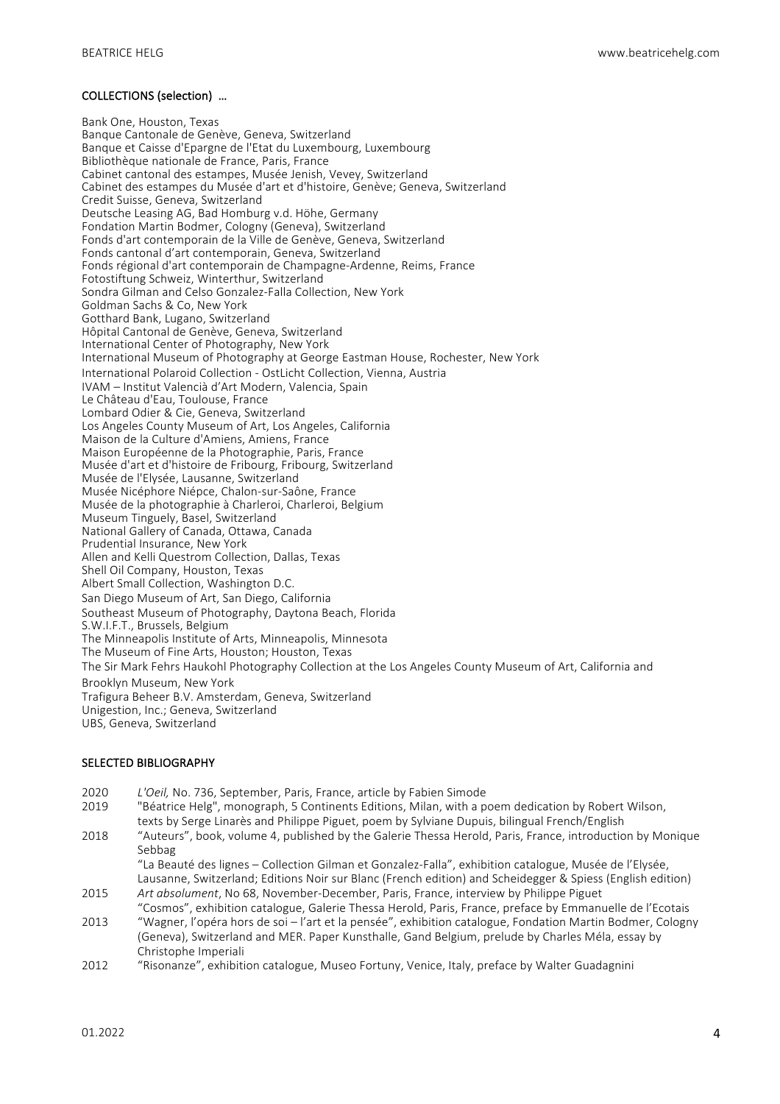### COLLECTIONS (selection) ...

Bank One, Houston, Texas Banque Cantonale de Genève, Geneva, Switzerland Banque et Caisse d'Epargne de l'Etat du Luxembourg, Luxembourg Bibliothèque nationale de France, Paris, France Cabinet cantonal des estampes, Musée Jenish, Vevey, Switzerland Cabinet des estampes du Musée d'art et d'histoire, Genève; Geneva, Switzerland Credit Suisse, Geneva, Switzerland Deutsche Leasing AG, Bad Homburg v.d. Höhe, Germany Fondation Martin Bodmer, Cologny (Geneva), Switzerland Fonds d'art contemporain de la Ville de Genève, Geneva, Switzerland Fonds cantonal d'art contemporain, Geneva, Switzerland Fonds régional d'art contemporain de Champagne-Ardenne, Reims, France Fotostiftung Schweiz, Winterthur, Switzerland Sondra Gilman and Celso Gonzalez-Falla Collection, New York Goldman Sachs & Co, New York Gotthard Bank, Lugano, Switzerland Hôpital Cantonal de Genève, Geneva, Switzerland International Center of Photography, New York International Museum of Photography at George Eastman House, Rochester, New York International Polaroid Collection - OstLicht Collection, Vienna, Austria IVAM – Institut Valencià d'Art Modern, Valencia, Spain Le Château d'Eau, Toulouse, France Lombard Odier & Cie, Geneva, Switzerland Los Angeles County Museum of Art, Los Angeles, California Maison de la Culture d'Amiens, Amiens, France Maison Européenne de la Photographie, Paris, France Musée d'art et d'histoire de Fribourg, Fribourg, Switzerland Musée de l'Elysée, Lausanne, Switzerland Musée Nicéphore Niépce, Chalon-sur-Saône, France Musée de la photographie à Charleroi, Charleroi, Belgium Museum Tinguely, Basel, Switzerland National Gallery of Canada, Ottawa, Canada Prudential Insurance, New York Allen and Kelli Questrom Collection, Dallas, Texas Shell Oil Company, Houston, Texas Albert Small Collection, Washington D.C. San Diego Museum of Art, San Diego, California Southeast Museum of Photography, Daytona Beach, Florida S.W.I.F.T., Brussels, Belgium The Minneapolis Institute of Arts, Minneapolis, Minnesota The Museum of Fine Arts, Houston; Houston, Texas The Sir Mark Fehrs Haukohl Photography Collection at the Los Angeles County Museum of Art, California and Brooklyn Museum, New York Trafigura Beheer B.V. Amsterdam, Geneva, Switzerland Unigestion, Inc.; Geneva, Switzerland UBS, Geneva, Switzerland

#### SELECTED BIBLIOGRAPHY

- 2020 *L'Oeil,* No. 736, September, Paris, France, article by Fabien Simode<br>2019 Péatrice Helg<sup>i</sup>, monograph, 5 Continents Editions, Milan, with a p
- "Béatrice Helg", monograph, 5 Continents Editions, Milan, with a poem dedication by Robert Wilson, texts by Serge Linarès and Philippe Piguet, poem by Sylviane Dupuis, bilingual French/English
- 2018 "Auteurs", book, volume 4, published by the Galerie Thessa Herold, Paris, France, introduction by Monique Sebbag

"La Beauté des lignes – Collection Gilman et Gonzalez-Falla", exhibition catalogue, Musée de l'Elysée, Lausanne, Switzerland; Editions Noir sur Blanc (French edition) and Scheidegger & Spiess (English edition)

- 2015 Art *absolument*, No 68, November-December, Paris, France, interview by Philippe Piguet "Cosmos", exhibition catalogue, Galerie Thessa Herold, Paris, France, preface by Emmanuelle de l'Ecotais
- 2013 "Wagner, l'opéra hors de soi l'art et la pensée", exhibition catalogue, Fondation Martin Bodmer, Cologny (Geneva), Switzerland and MER. Paper Kunsthalle, Gand Belgium, prelude by Charles Méla, essay by Christophe Imperiali
- 2012 "Risonanze", exhibition catalogue, Museo Fortuny, Venice, Italy, preface by Walter Guadagnini